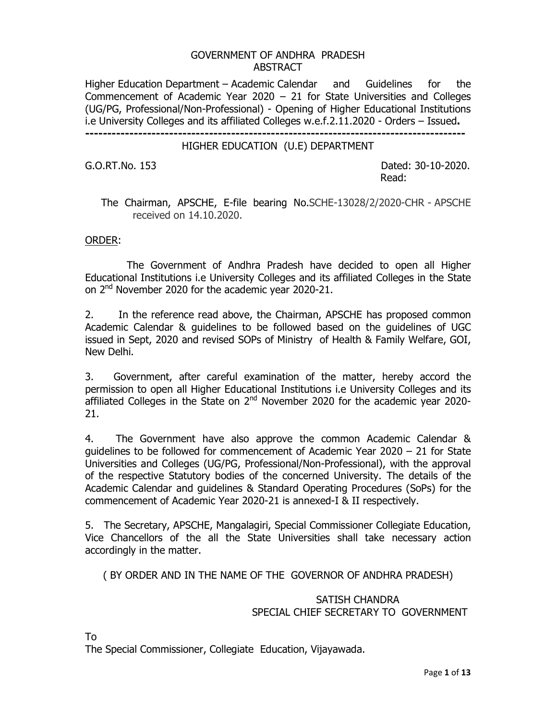#### GOVERNMENT OF ANDHRA PRADESH ABSTRACT

Higher Education Department – Academic Calendar and Guidelines for the Commencement of Academic Year 2020 – 21 for State Universities and Colleges (UG/PG, Professional/Non-Professional) - Opening of Higher Educational Institutions i.e University Colleges and its affiliated Colleges w.e.f.2.11.2020 - Orders – Issued**. --------------------------------------------------------------------------------------** 

#### HIGHER EDUCATION (U.E) DEPARTMENT

G.O.RT.No. 153 Dated: 30-10-2020. **Read:** The contract of the contract of the contract of the contract of the contract of the contract of the contract of the contract of the contract of the contract of the contract of the contract of the contract of the co

## The Chairman, APSCHE, E-file bearing No.SCHE-13028/2/2020-CHR - APSCHE received on 14.10.2020.

#### ORDER:

 The Government of Andhra Pradesh have decided to open all Higher Educational Institutions i.e University Colleges and its affiliated Colleges in the State on 2<sup>nd</sup> November 2020 for the academic year 2020-21.

2. In the reference read above, the Chairman, APSCHE has proposed common Academic Calendar & guidelines to be followed based on the guidelines of UGC issued in Sept, 2020 and revised SOPs of Ministry of Health & Family Welfare, GOI, New Delhi.

3. Government, after careful examination of the matter, hereby accord the permission to open all Higher Educational Institutions i.e University Colleges and its affiliated Colleges in the State on  $2<sup>nd</sup>$  November 2020 for the academic year 2020-21.

4. The Government have also approve the common Academic Calendar & guidelines to be followed for commencement of Academic Year 2020 – 21 for State Universities and Colleges (UG/PG, Professional/Non-Professional), with the approval of the respective Statutory bodies of the concerned University. The details of the Academic Calendar and guidelines & Standard Operating Procedures (SoPs) for the commencement of Academic Year 2020-21 is annexed-I & II respectively.

5. The Secretary, APSCHE, Mangalagiri, Special Commissioner Collegiate Education, Vice Chancellors of the all the State Universities shall take necessary action accordingly in the matter.

( BY ORDER AND IN THE NAME OF THE GOVERNOR OF ANDHRA PRADESH)

#### SATISH CHANDRA SPECIAL CHIEF SECRETARY TO GOVERNMENT

To

The Special Commissioner, Collegiate Education, Vijayawada.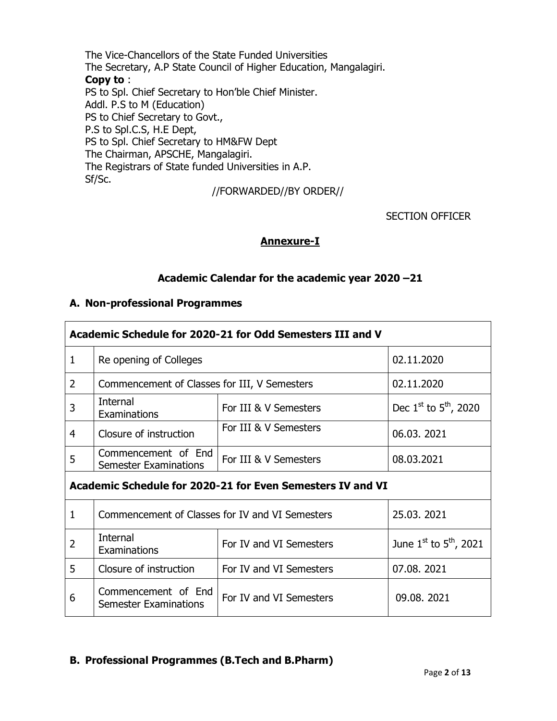The Vice-Chancellors of the State Funded Universities The Secretary, A.P State Council of Higher Education, Mangalagiri. **Copy to** : PS to Spl. Chief Secretary to Hon'ble Chief Minister. Addl. P.S to M (Education) PS to Chief Secretary to Govt., P.S to Spl.C.S, H.E Dept, PS to Spl. Chief Secretary to HM&FW Dept The Chairman, APSCHE, Mangalagiri. The Registrars of State funded Universities in A.P. Sf/Sc.

//FORWARDED//BY ORDER//

SECTION OFFICER

#### **Annexure-I**

#### **Academic Calendar for the academic year 2020 –21**

#### **A. Non-professional Programmes**

| Academic Schedule for 2020-21 for Odd Semesters III and V  |                                                     |                         |                                 |
|------------------------------------------------------------|-----------------------------------------------------|-------------------------|---------------------------------|
| 1                                                          | Re opening of Colleges                              |                         | 02.11.2020                      |
| $\overline{2}$                                             | Commencement of Classes for III, V Semesters        |                         | 02.11.2020                      |
| 3                                                          | Internal<br>Examinations                            | For III & V Semesters   | Dec $1^{st}$ to $5^{th}$ , 2020 |
| 4                                                          | Closure of instruction                              | For III & V Semesters   | 06.03.2021                      |
| 5                                                          | Commencement of End<br><b>Semester Examinations</b> | For III & V Semesters   | 08.03.2021                      |
| Academic Schedule for 2020-21 for Even Semesters IV and VI |                                                     |                         |                                 |
| $\mathbf{1}$                                               | Commencement of Classes for IV and VI Semesters     |                         | 25.03.2021                      |
| 2                                                          | Internal<br>Examinations                            | For IV and VI Semesters | June $1st$ to $5th$ , 2021      |
| 5                                                          | Closure of instruction                              | For IV and VI Semesters | 07.08.2021                      |
| 6                                                          | Commencement of End<br><b>Semester Examinations</b> | For IV and VI Semesters | 09.08.2021                      |

## **B. Professional Programmes (B.Tech and B.Pharm)**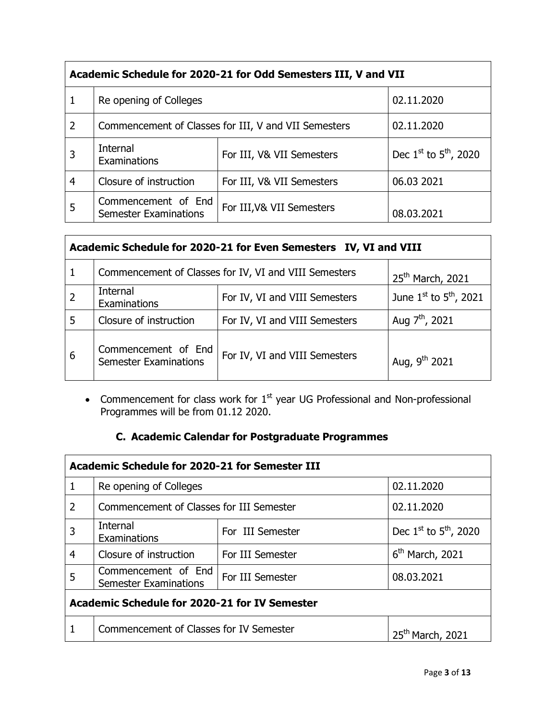| Academic Schedule for 2020-21 for Odd Semesters III, V and VII |                                                      |                           |                                 |
|----------------------------------------------------------------|------------------------------------------------------|---------------------------|---------------------------------|
| 1                                                              | Re opening of Colleges                               |                           | 02.11.2020                      |
| $\overline{2}$                                                 | Commencement of Classes for III, V and VII Semesters |                           | 02.11.2020                      |
|                                                                | Internal<br>Examinations                             | For III, V& VII Semesters | Dec $1^{st}$ to $5^{th}$ , 2020 |
| 4                                                              | Closure of instruction                               | For III, V& VII Semesters | 06.03 2021                      |
| 5                                                              | Commencement of End<br><b>Semester Examinations</b>  | For III, V& VII Semesters | 08.03.2021                      |

| Academic Schedule for 2020-21 for Even Semesters IV, VI and VIII |                                                       |                               |                                  |
|------------------------------------------------------------------|-------------------------------------------------------|-------------------------------|----------------------------------|
|                                                                  | Commencement of Classes for IV, VI and VIII Semesters |                               | 25 <sup>th</sup> March, 2021     |
|                                                                  | Internal<br>Examinations                              | For IV, VI and VIII Semesters | June $1^{st}$ to $5^{th}$ , 2021 |
| 5                                                                | Closure of instruction                                | For IV, VI and VIII Semesters | Aug 7 <sup>th</sup> , 2021       |
| 6                                                                | Commencement of End<br><b>Semester Examinations</b>   | For IV, VI and VIII Semesters | Aug, 9 <sup>th</sup> 2021        |

• Commencement for class work for  $1<sup>st</sup>$  year UG Professional and Non-professional Programmes will be from 01.12 2020.

# **C. Academic Calendar for Postgraduate Programmes**

| Academic Schedule for 2020-21 for Semester III |                                                     |                  |                                 |
|------------------------------------------------|-----------------------------------------------------|------------------|---------------------------------|
| 1                                              | Re opening of Colleges                              |                  | 02.11.2020                      |
| $\overline{2}$                                 | Commencement of Classes for III Semester            |                  | 02.11.2020                      |
| 3                                              | Internal<br>Examinations                            | For III Semester | Dec $1^{st}$ to $5^{th}$ , 2020 |
| 4                                              | Closure of instruction                              | For III Semester | $6th$ March, 2021               |
| 5                                              | Commencement of End<br><b>Semester Examinations</b> | For III Semester | 08.03.2021                      |
| Academic Schedule for 2020-21 for IV Semester  |                                                     |                  |                                 |
|                                                | Commencement of Classes for IV Semester             |                  | 25 <sup>th</sup> March, 2021    |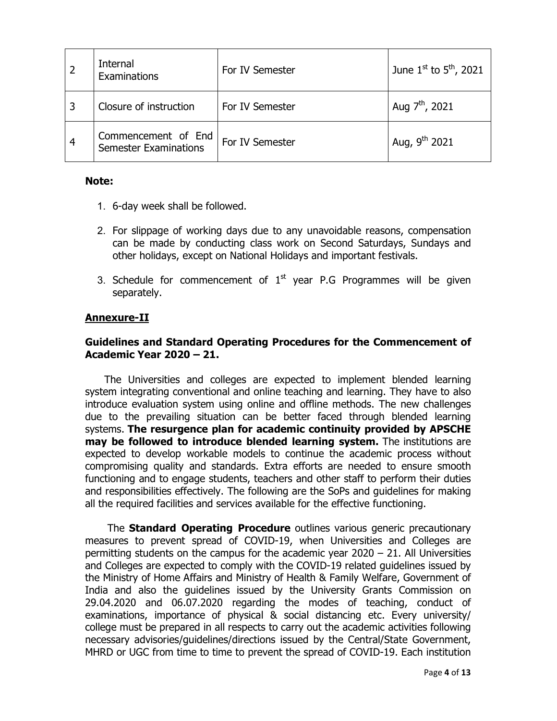|                | Internal<br>Examinations                            | For IV Semester | June $1^{st}$ to $5^{th}$ , 2021 |
|----------------|-----------------------------------------------------|-----------------|----------------------------------|
|                | Closure of instruction                              | For IV Semester | Aug $7^{th}$ , 2021              |
| $\overline{4}$ | Commencement of End<br><b>Semester Examinations</b> | For IV Semester | Aug, $9^{th}$ 2021               |

#### **Note:**

- 1. 6-day week shall be followed.
- 2. For slippage of working days due to any unavoidable reasons, compensation can be made by conducting class work on Second Saturdays, Sundays and other holidays, except on National Holidays and important festivals.
- 3. Schedule for commencement of  $1<sup>st</sup>$  year P.G Programmes will be given separately.

### **Annexure-II**

## **Guidelines and Standard Operating Procedures for the Commencement of Academic Year 2020 – 21.**

 The Universities and colleges are expected to implement blended learning system integrating conventional and online teaching and learning. They have to also introduce evaluation system using online and offline methods. The new challenges due to the prevailing situation can be better faced through blended learning systems. **The resurgence plan for academic continuity provided by APSCHE may be followed to introduce blended learning system.** The institutions are expected to develop workable models to continue the academic process without compromising quality and standards. Extra efforts are needed to ensure smooth functioning and to engage students, teachers and other staff to perform their duties and responsibilities effectively. The following are the SoPs and guidelines for making all the required facilities and services available for the effective functioning.

 The **Standard Operating Procedure** outlines various generic precautionary measures to prevent spread of COVID-19, when Universities and Colleges are permitting students on the campus for the academic year 2020 – 21. All Universities and Colleges are expected to comply with the COVID-19 related guidelines issued by the Ministry of Home Affairs and Ministry of Health & Family Welfare, Government of India and also the guidelines issued by the University Grants Commission on 29.04.2020 and 06.07.2020 regarding the modes of teaching, conduct of examinations, importance of physical & social distancing etc. Every university/ college must be prepared in all respects to carry out the academic activities following necessary advisories/guidelines/directions issued by the Central/State Government, MHRD or UGC from time to time to prevent the spread of COVID-19. Each institution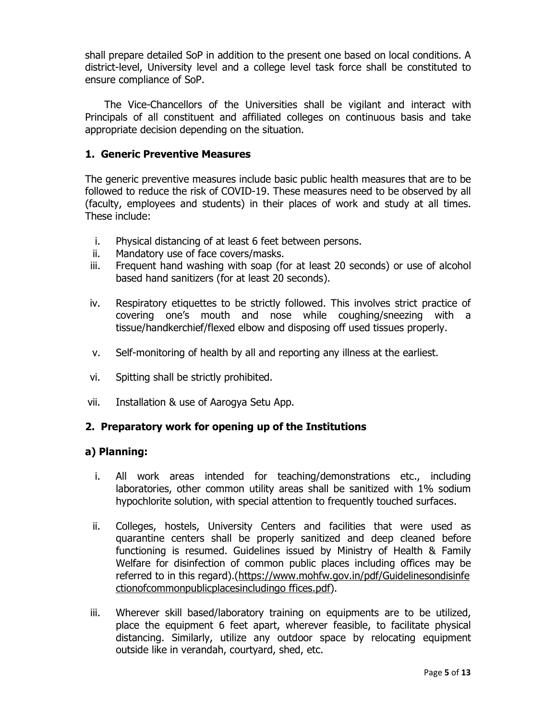shall prepare detailed SoP in addition to the present one based on local conditions. A district-level, University level and a college level task force shall be constituted to ensure compliance of SoP.

 The Vice-Chancellors of the Universities shall be vigilant and interact with Principals of all constituent and affiliated colleges on continuous basis and take appropriate decision depending on the situation.

### **1. Generic Preventive Measures**

The generic preventive measures include basic public health measures that are to be followed to reduce the risk of COVID-19. These measures need to be observed by all (faculty, employees and students) in their places of work and study at all times. These include:

- i. Physical distancing of at least 6 feet between persons.
- ii. Mandatory use of face covers/masks.
- iii. Frequent hand washing with soap (for at least 20 seconds) or use of alcohol based hand sanitizers (for at least 20 seconds).
- iv. Respiratory etiquettes to be strictly followed. This involves strict practice of covering one's mouth and nose while coughing/sneezing with a tissue/handkerchief/flexed elbow and disposing off used tissues properly.
- v. Self-monitoring of health by all and reporting any illness at the earliest.
- vi. Spitting shall be strictly prohibited.
- vii. Installation & use of Aarogya Setu App.

## **2. Preparatory work for opening up of the Institutions**

#### **a) Planning:**

- i. All work areas intended for teaching/demonstrations etc., including laboratories, other common utility areas shall be sanitized with 1% sodium hypochlorite solution, with special attention to frequently touched surfaces.
- ii. Colleges, hostels, University Centers and facilities that were used as quarantine centers shall be properly sanitized and deep cleaned before functioning is resumed. Guidelines issued by Ministry of Health & Family Welfare for disinfection of common public places including offices may be referred to in this regard).(https://www.mohfw.gov.in/pdf/Guidelinesondisinfe ctionofcommonpublicplacesincludingo ffices.pdf).
- iii. Wherever skill based/laboratory training on equipments are to be utilized, place the equipment 6 feet apart, wherever feasible, to facilitate physical distancing. Similarly, utilize any outdoor space by relocating equipment outside like in verandah, courtyard, shed, etc.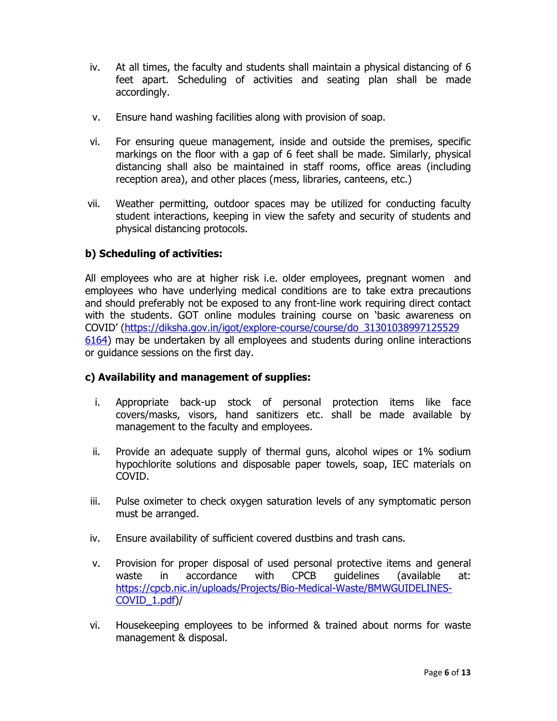- iv. At all times, the faculty and students shall maintain a physical distancing of 6 feet apart. Scheduling of activities and seating plan shall be made accordingly.
- v. Ensure hand washing facilities along with provision of soap.
- vi. For ensuring queue management, inside and outside the premises, specific markings on the floor with a gap of 6 feet shall be made. Similarly, physical distancing shall also be maintained in staff rooms, office areas (including reception area), and other places (mess, libraries, canteens, etc.)
- vii. Weather permitting, outdoor spaces may be utilized for conducting faculty student interactions, keeping in view the safety and security of students and physical distancing protocols.

## **b) Scheduling of activities:**

All employees who are at higher risk i.e. older employees, pregnant women and employees who have underlying medical conditions are to take extra precautions and should preferably not be exposed to any front-line work requiring direct contact with the students. GOT online modules training course on 'basic awareness on COVID' (https://diksha.gov.in/igot/explore-course/course/do\_31301038997125529 6164) may be undertaken by all employees and students during online interactions or guidance sessions on the first day.

#### **c) Availability and management of supplies:**

- i. Appropriate back-up stock of personal protection items like face covers/masks, visors, hand sanitizers etc. shall be made available by management to the faculty and employees.
- ii. Provide an adequate supply of thermal guns, alcohol wipes or 1% sodium hypochlorite solutions and disposable paper towels, soap, IEC materials on COVID.
- iii. Pulse oximeter to check oxygen saturation levels of any symptomatic person must be arranged.
- iv. Ensure availability of sufficient covered dustbins and trash cans.
- v. Provision for proper disposal of used personal protective items and general waste in accordance with CPCB guidelines (available at: https://cpcb.nic.in/uploads/Projects/Bio-Medical-Waste/BMWGUIDELINES-COVID\_1.pdf)/
- vi. Housekeeping employees to be informed & trained about norms for waste management & disposal.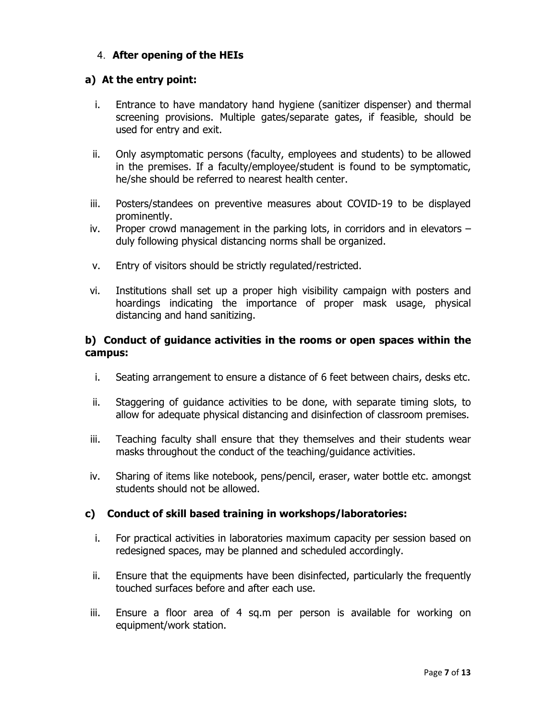# 4. **After opening of the HEIs**

## **a) At the entry point:**

- i. Entrance to have mandatory hand hygiene (sanitizer dispenser) and thermal screening provisions. Multiple gates/separate gates, if feasible, should be used for entry and exit.
- ii. Only asymptomatic persons (faculty, employees and students) to be allowed in the premises. If a faculty/employee/student is found to be symptomatic, he/she should be referred to nearest health center.
- iii. Posters/standees on preventive measures about COVID-19 to be displayed prominently.
- iv. Proper crowd management in the parking lots, in corridors and in elevators duly following physical distancing norms shall be organized.
- v. Entry of visitors should be strictly regulated/restricted.
- vi. Institutions shall set up a proper high visibility campaign with posters and hoardings indicating the importance of proper mask usage, physical distancing and hand sanitizing.

## **b) Conduct of guidance activities in the rooms or open spaces within the campus:**

- i. Seating arrangement to ensure a distance of 6 feet between chairs, desks etc.
- ii. Staggering of guidance activities to be done, with separate timing slots, to allow for adequate physical distancing and disinfection of classroom premises.
- iii. Teaching faculty shall ensure that they themselves and their students wear masks throughout the conduct of the teaching/guidance activities.
- iv. Sharing of items like notebook, pens/pencil, eraser, water bottle etc. amongst students should not be allowed.

## **c) Conduct of skill based training in workshops/laboratories:**

- i. For practical activities in laboratories maximum capacity per session based on redesigned spaces, may be planned and scheduled accordingly.
- ii. Ensure that the equipments have been disinfected, particularly the frequently touched surfaces before and after each use.
- iii. Ensure a floor area of 4 sq.m per person is available for working on equipment/work station.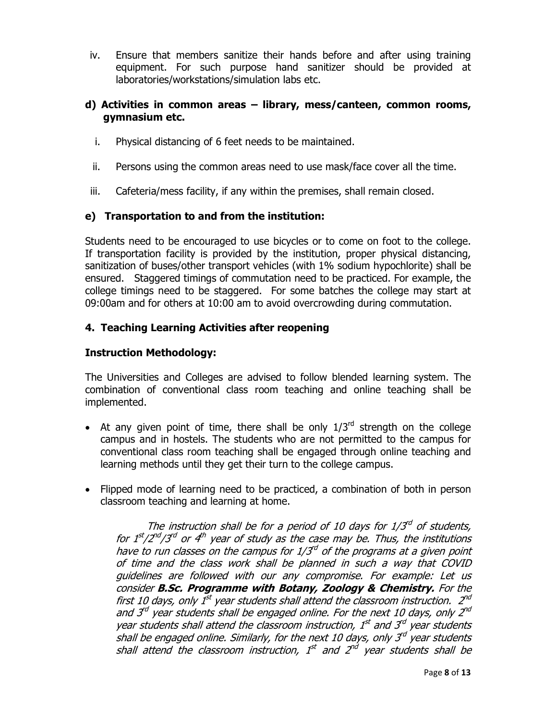iv. Ensure that members sanitize their hands before and after using training equipment. For such purpose hand sanitizer should be provided at laboratories/workstations/simulation labs etc.

### **d) Activities in common areas – library, mess/canteen, common rooms, gymnasium etc.**

- i. Physical distancing of 6 feet needs to be maintained.
- ii. Persons using the common areas need to use mask/face cover all the time.
- iii. Cafeteria/mess facility, if any within the premises, shall remain closed.

### **e) Transportation to and from the institution:**

Students need to be encouraged to use bicycles or to come on foot to the college. If transportation facility is provided by the institution, proper physical distancing, sanitization of buses/other transport vehicles (with 1% sodium hypochlorite) shall be ensured. Staggered timings of commutation need to be practiced. For example, the college timings need to be staggered. For some batches the college may start at 09:00am and for others at 10:00 am to avoid overcrowding during commutation.

### **4. Teaching Learning Activities after reopening**

#### **Instruction Methodology:**

The Universities and Colleges are advised to follow blended learning system. The combination of conventional class room teaching and online teaching shall be implemented.

- At any given point of time, there shall be only  $1/3^{rd}$  strength on the college campus and in hostels. The students who are not permitted to the campus for conventional class room teaching shall be engaged through online teaching and learning methods until they get their turn to the college campus.
- Flipped mode of learning need to be practiced, a combination of both in person classroom teaching and learning at home.

The instruction shall be for a period of 10 days for  $1/3^{rd}$  of students, for  $1^{st}/2^{nd}/3^{rd}$  or  $4^{th}$  year of study as the case may be. Thus, the institutions have to run classes on the campus for  $1/3<sup>d</sup>$  of the programs at a given point of time and the class work shall be planned in such a way that COVID guidelines are followed with our any compromise. For example: Let us consider **B.Sc. Programme with Botany, Zoology & Chemistry.** For the first 10 days, only  $1^{st}$  year students shall attend the classroom instruction.  $2^{nd}$ and  $3^{rd}$  year students shall be engaged online. For the next 10 days, only  $2^{nd}$ year students shall attend the classroom instruction,  $1<sup>st</sup>$  and  $3<sup>rd</sup>$  year students shall be engaged online. Similarly, for the next 10 days, only  $3<sup>rd</sup>$  year students shall attend the classroom instruction,  $1^{st}$  and  $2^{nd}$  year students shall be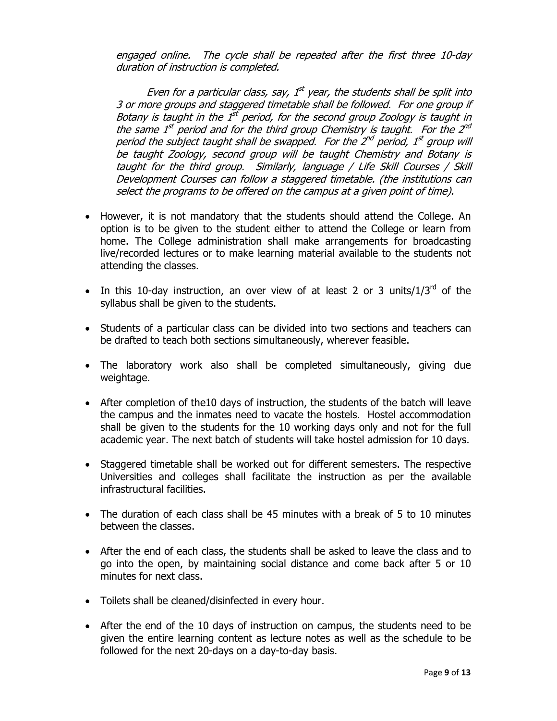engaged online. The cycle shall be repeated after the first three 10-day duration of instruction is completed.

Even for a particular class, say,  $1<sup>st</sup>$  year, the students shall be split into 3 or more groups and staggered timetable shall be followed. For one group if Botany is taught in the  $1<sup>st</sup>$  period, for the second group Zoology is taught in the same  $1^{st}$  period and for the third group Chemistry is taught. For the  $2^{nd}$ period the subject taught shall be swapped. For the  $2^{nd}$  period,  $1^{st}$  group will be taught Zoology, second group will be taught Chemistry and Botany is taught for the third group. Similarly, language / Life Skill Courses / Skill Development Courses can follow a staggered timetable. (the institutions can select the programs to be offered on the campus at a given point of time).

- However, it is not mandatory that the students should attend the College. An option is to be given to the student either to attend the College or learn from home. The College administration shall make arrangements for broadcasting live/recorded lectures or to make learning material available to the students not attending the classes.
- In this 10-day instruction, an over view of at least 2 or 3 units/ $1/3^{rd}$  of the syllabus shall be given to the students.
- Students of a particular class can be divided into two sections and teachers can be drafted to teach both sections simultaneously, wherever feasible.
- The laboratory work also shall be completed simultaneously, giving due weightage.
- After completion of the10 days of instruction, the students of the batch will leave the campus and the inmates need to vacate the hostels. Hostel accommodation shall be given to the students for the 10 working days only and not for the full academic year. The next batch of students will take hostel admission for 10 days.
- Staggered timetable shall be worked out for different semesters. The respective Universities and colleges shall facilitate the instruction as per the available infrastructural facilities.
- The duration of each class shall be 45 minutes with a break of 5 to 10 minutes between the classes.
- After the end of each class, the students shall be asked to leave the class and to go into the open, by maintaining social distance and come back after 5 or 10 minutes for next class.
- Toilets shall be cleaned/disinfected in every hour.
- After the end of the 10 days of instruction on campus, the students need to be given the entire learning content as lecture notes as well as the schedule to be followed for the next 20-days on a day-to-day basis.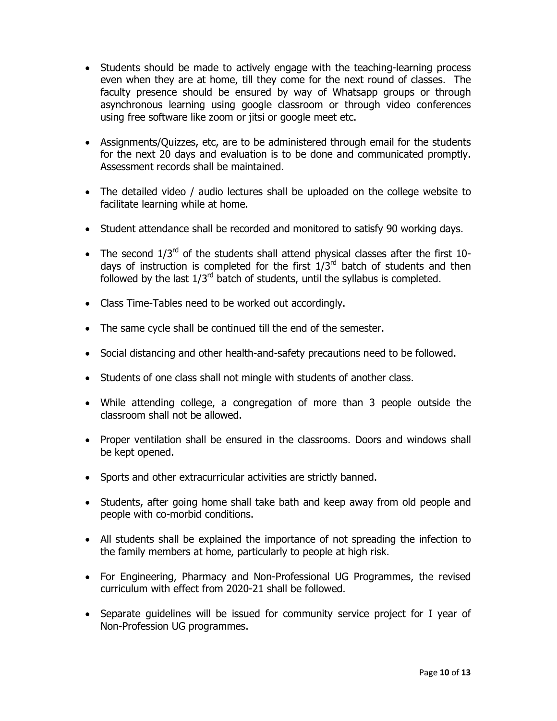- Students should be made to actively engage with the teaching-learning process even when they are at home, till they come for the next round of classes. The faculty presence should be ensured by way of Whatsapp groups or through asynchronous learning using google classroom or through video conferences using free software like zoom or jitsi or google meet etc.
- Assignments/Quizzes, etc, are to be administered through email for the students for the next 20 days and evaluation is to be done and communicated promptly. Assessment records shall be maintained.
- The detailed video / audio lectures shall be uploaded on the college website to facilitate learning while at home.
- Student attendance shall be recorded and monitored to satisfy 90 working days.
- The second  $1/3^{rd}$  of the students shall attend physical classes after the first 10days of instruction is completed for the first  $1/3<sup>rd</sup>$  batch of students and then followed by the last  $1/3^{rd}$  batch of students, until the syllabus is completed.
- Class Time-Tables need to be worked out accordingly.
- The same cycle shall be continued till the end of the semester.
- Social distancing and other health-and-safety precautions need to be followed.
- Students of one class shall not mingle with students of another class.
- While attending college, a congregation of more than 3 people outside the classroom shall not be allowed.
- Proper ventilation shall be ensured in the classrooms. Doors and windows shall be kept opened.
- Sports and other extracurricular activities are strictly banned.
- Students, after going home shall take bath and keep away from old people and people with co-morbid conditions.
- All students shall be explained the importance of not spreading the infection to the family members at home, particularly to people at high risk.
- For Engineering, Pharmacy and Non-Professional UG Programmes, the revised curriculum with effect from 2020-21 shall be followed.
- Separate guidelines will be issued for community service project for I year of Non-Profession UG programmes.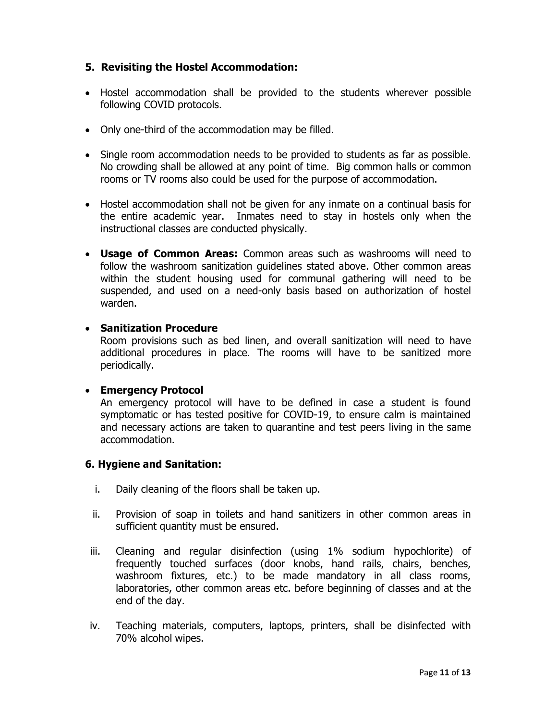# **5. Revisiting the Hostel Accommodation:**

- Hostel accommodation shall be provided to the students wherever possible following COVID protocols.
- Only one-third of the accommodation may be filled.
- Single room accommodation needs to be provided to students as far as possible. No crowding shall be allowed at any point of time. Big common halls or common rooms or TV rooms also could be used for the purpose of accommodation.
- Hostel accommodation shall not be given for any inmate on a continual basis for the entire academic year. Inmates need to stay in hostels only when the instructional classes are conducted physically.
- **Usage of Common Areas:** Common areas such as washrooms will need to follow the washroom sanitization guidelines stated above. Other common areas within the student housing used for communal gathering will need to be suspended, and used on a need-only basis based on authorization of hostel warden.

### • **Sanitization Procedure**

Room provisions such as bed linen, and overall sanitization will need to have additional procedures in place. The rooms will have to be sanitized more periodically.

## • **Emergency Protocol**

An emergency protocol will have to be defined in case a student is found symptomatic or has tested positive for COVID-19, to ensure calm is maintained and necessary actions are taken to quarantine and test peers living in the same accommodation.

## **6. Hygiene and Sanitation:**

- i. Daily cleaning of the floors shall be taken up.
- ii. Provision of soap in toilets and hand sanitizers in other common areas in sufficient quantity must be ensured.
- iii. Cleaning and regular disinfection (using 1% sodium hypochlorite) of frequently touched surfaces (door knobs, hand rails, chairs, benches, washroom fixtures, etc.) to be made mandatory in all class rooms, laboratories, other common areas etc. before beginning of classes and at the end of the day.
- iv. Teaching materials, computers, laptops, printers, shall be disinfected with 70% alcohol wipes.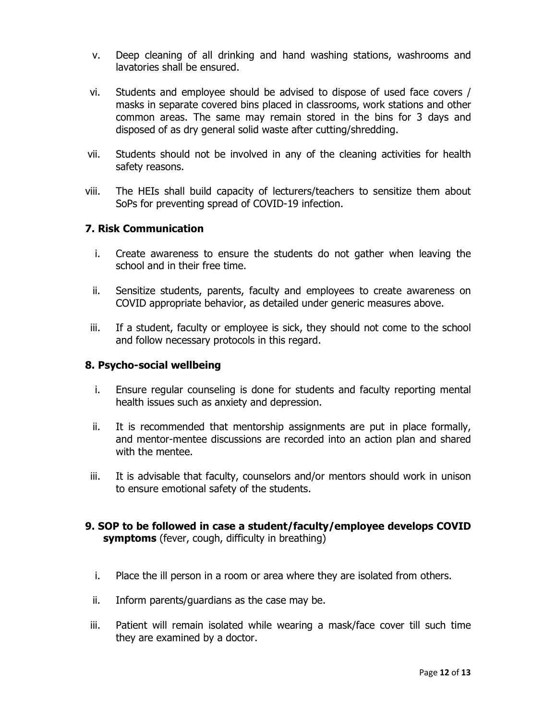- v. Deep cleaning of all drinking and hand washing stations, washrooms and lavatories shall be ensured.
- vi. Students and employee should be advised to dispose of used face covers / masks in separate covered bins placed in classrooms, work stations and other common areas. The same may remain stored in the bins for 3 days and disposed of as dry general solid waste after cutting/shredding.
- vii. Students should not be involved in any of the cleaning activities for health safety reasons.
- viii. The HEIs shall build capacity of lecturers/teachers to sensitize them about SoPs for preventing spread of COVID-19 infection.

### **7. Risk Communication**

- i. Create awareness to ensure the students do not gather when leaving the school and in their free time.
- ii. Sensitize students, parents, faculty and employees to create awareness on COVID appropriate behavior, as detailed under generic measures above.
- iii. If a student, faculty or employee is sick, they should not come to the school and follow necessary protocols in this regard.

#### **8. Psycho-social wellbeing**

- i. Ensure regular counseling is done for students and faculty reporting mental health issues such as anxiety and depression.
- ii. It is recommended that mentorship assignments are put in place formally, and mentor-mentee discussions are recorded into an action plan and shared with the mentee.
- iii. It is advisable that faculty, counselors and/or mentors should work in unison to ensure emotional safety of the students.
- **9. SOP to be followed in case a student/faculty/employee develops COVID symptoms** (fever, cough, difficulty in breathing)
	- i. Place the ill person in a room or area where they are isolated from others.
	- ii. Inform parents/guardians as the case may be.
- iii. Patient will remain isolated while wearing a mask/face cover till such time they are examined by a doctor.